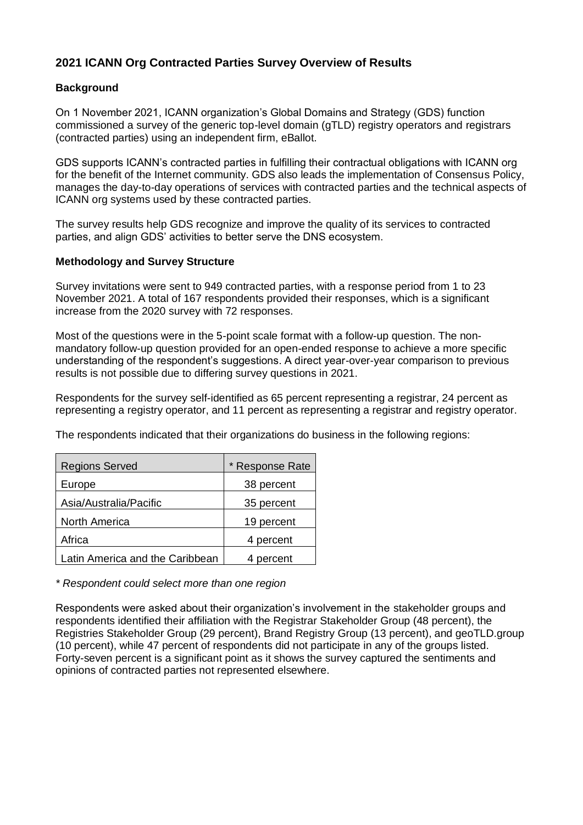## **2021 ICANN Org Contracted Parties Survey Overview of Results**

## **Background**

On 1 November 2021, ICANN organization's Global Domains and Strategy (GDS) function commissioned a survey of the generic top-level domain (gTLD) registry operators and registrars (contracted parties) using an independent firm, eBallot.

GDS supports ICANN's contracted parties in fulfilling their contractual obligations with ICANN org for the benefit of the Internet community. GDS also leads the implementation of Consensus Policy, manages the day-to-day operations of services with contracted parties and the technical aspects of ICANN org systems used by these contracted parties.

The survey results help GDS recognize and improve the quality of its services to contracted parties, and align GDS' activities to better serve the DNS ecosystem.

## **Methodology and Survey Structure**

Survey invitations were sent to 949 contracted parties, with a response period from 1 to 23 November 2021. A total of 167 respondents provided their responses, which is a significant increase from the 2020 survey with 72 responses.

Most of the questions were in the 5-point scale format with a follow-up question. The nonmandatory follow-up question provided for an open-ended response to achieve a more specific understanding of the respondent's suggestions. A direct year-over-year comparison to previous results is not possible due to differing survey questions in 2021.

Respondents for the survey self-identified as 65 percent representing a registrar, 24 percent as representing a registry operator, and 11 percent as representing a registrar and registry operator.

The respondents indicated that their organizations do business in the following regions:

| <b>Regions Served</b>           | * Response Rate |
|---------------------------------|-----------------|
| Europe                          | 38 percent      |
| Asia/Australia/Pacific          | 35 percent      |
| North America                   | 19 percent      |
| Africa                          | 4 percent       |
| Latin America and the Caribbean | 4 percent       |

*\* Respondent could select more than one region*

Respondents were asked about their organization's involvement in the stakeholder groups and respondents identified their affiliation with the Registrar Stakeholder Group (48 percent), the Registries Stakeholder Group (29 percent), Brand Registry Group (13 percent), and geoTLD.group (10 percent), while 47 percent of respondents did not participate in any of the groups listed. Forty-seven percent is a significant point as it shows the survey captured the sentiments and opinions of contracted parties not represented elsewhere.